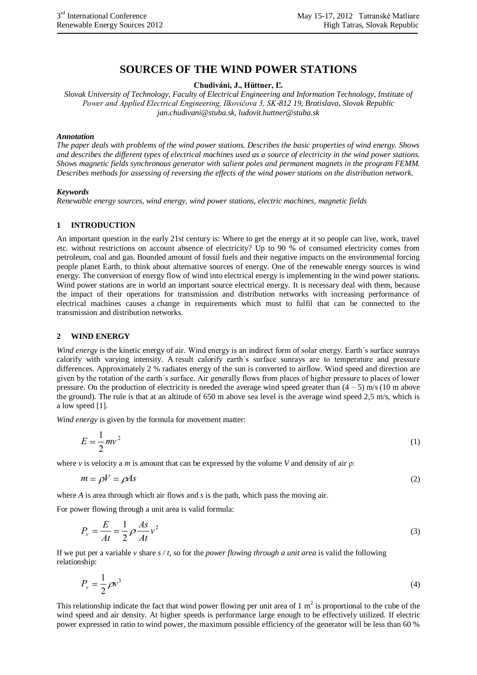# **SOURCES OF THE WIND POWER STATIONS**

**Chudiváni, J., Hüttner, Ľ.**

*Slovak University of Technology, Faculty of Electrical Engineering and Information Technology, Institute of Power and Applied Electrical Engineering, Ilkovičova 3, SK-812 19, Bratislava, Slovak Republic jan.chudivani@stuba.sk, ludovit.huttner@stuba.sk*

#### *Annotation*

*The paper deals with problems of the wind power stations. Describes the basic properties of wind energy. Shows and describes the different types of electrical machines used as a source of electricity in the wind power stations. Shows magnetic fields synchronous generator with salient poles and permanent magnets in the program FEMM. Describes methods for assessing of reversing the effects of the wind power stations on the distribution network.*

#### *Keywords*

*Renewable energy sources, wind energy, wind power stations, electric machines, magnetic fields*

#### **1 INTRODUCTION**

An important question in the early 21st century is: Where to get the energy at it so people can live, work, travel etc. without restrictions on account absence of electricity? Up to 90 % of consumed electricity comes from petroleum, coal and gas. Bounded amount of fossil fuels and their negative impacts on the environmental forcing people planet Earth, to think about alternative sources of energy. One of the renewable energy sources is wind energy. The conversion of energy flow of wind into electrical energy is implementing in the wind power stations. Wind power stations are in world an important source electrical energy. It is necessary deal with them, because the impact of their operations for transmission and distribution networks with increasing performance of electrical machines causes a change in requirements which must to fulfil that can be connected to the transmission and distribution networks.

#### **2 WIND ENERGY**

*Wind energy* is the kinetic energy of air. Wind energy is an indirect form of solar energy. Earth´s surface sunrays calorify with varying intensity. A result calorify earth´s surface sunrays are to temperature and pressure differences. Approximately 2 % radiates energy of the sun is converted to airflow. Wind speed and direction are given by the rotation of the earth´s surface. Air generally flows from places of higher pressure to places of lower pressure. On the production of electricity is needed the average wind speed greater than  $(4 - 5)$  m/s (10 m above the ground). The rule is that at an altitude of 650 m above sea level is the average wind speed 2,5 m/s, which is a low speed [1].

*Wind energy* is given by the formula for movement matter:

$$
E = \frac{1}{2}mv^2\tag{1}
$$

where *v* is velocity a *m* is amount that can be expressed by the volume *V* and density of air  $\rho$ :

$$
m = \rho V = \rho A s \tag{2}
$$

where *A* is area through which air flows and *s* is the path, which pass the moving air.

For power flowing through a unit area is valid formula:

$$
P_v = \frac{E}{At} = \frac{1}{2} \rho \frac{As}{At} v^2
$$
\n<sup>(3)</sup>

If we put per a variable  $v$  share  $s/t$ , so for the *power flowing through a unit area* is valid the following relationship:

$$
P_v = \frac{1}{2} \rho v^3 \tag{4}
$$

This relationship indicate the fact that wind power flowing per unit area of  $1 \text{ m}^2$  is proportional to the cube of the wind speed and air density. At higher speeds is performance large enough to be effectively utilized. If electric power expressed in ratio to wind power, the maximum possible efficiency of the generator will be less than 60 %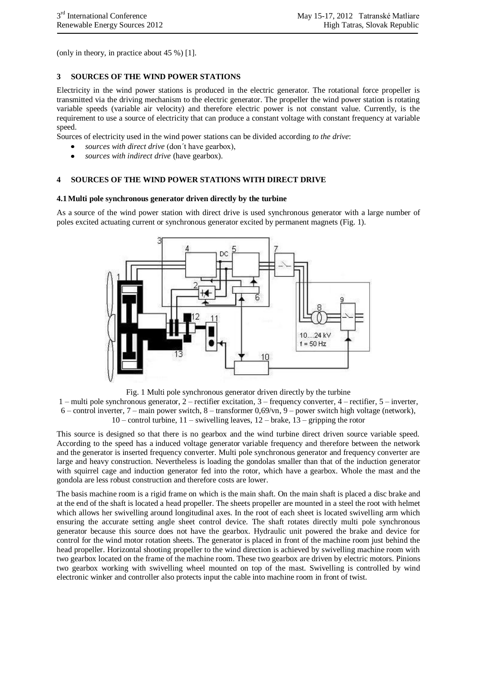(only in theory, in practice about 45 %) [1].

### **3 SOURCES OF THE WIND POWER STATIONS**

Electricity in the wind power stations is produced in the electric generator. The rotational force propeller is transmitted via the driving mechanism to the electric generator. The propeller the wind power station is rotating variable speeds (variable air velocity) and therefore electric power is not constant value. Currently, is the requirement to use a source of electricity that can produce a constant voltage with constant frequency at variable speed.

Sources of electricity used in the wind power stations can be divided according *to the drive*:

- *sources with direct drive* (don´t have gearbox),
- *sources with indirect drive* (have gearbox).

### **4 SOURCES OF THE WIND POWER STATIONS WITH DIRECT DRIVE**

#### **4.1Multi pole synchronous generator driven directly by the turbine**

As a source of the wind power station with direct drive is used synchronous generator with a large number of poles excited actuating current or synchronous generator excited by permanent magnets (Fig. 1).



Fig. 1 Multi pole synchronous generator driven directly by the turbine

1 – multi pole synchronous generator, 2 – rectifier excitation, 3 – frequency converter, 4 – rectifier, 5 – inverter, 6 – control inverter, 7 – main power switch, 8 – transformer 0,69/vn, 9 – power switch high voltage (network), 10 – control turbine, 11 – swivelling leaves, 12 – brake, 13 – gripping the rotor

This source is designed so that there is no gearbox and the wind turbine direct driven source variable speed. According to the speed has a induced voltage generator variable frequency and therefore between the network and the generator is inserted frequency converter. Multi pole synchronous generator and frequency converter are large and heavy construction. Nevertheless is loading the gondolas smaller than that of the induction generator with squirrel cage and induction generator fed into the rotor, which have a gearbox. Whole the mast and the gondola are less robust construction and therefore costs are lower.

The basis machine room is a rigid frame on which is the main shaft. On the main shaft is placed a disc brake and at the end of the shaft is located a head propeller. The sheets propeller are mounted in a steel the root with helmet which allows her swivelling around longitudinal axes. In the root of each sheet is located swivelling arm which ensuring the accurate setting angle sheet control device. The shaft rotates directly multi pole synchronous generator because this source does not have the gearbox. Hydraulic unit powered the brake and device for control for the wind motor rotation sheets. The generator is placed in front of the machine room just behind the head propeller. Horizontal shooting propeller to the wind direction is achieved by swivelling machine room with two gearbox located on the frame of the machine room. These two gearbox are driven by electric motors. Pinions two gearbox working with swivelling wheel mounted on top of the mast. Swivelling is controlled by wind electronic winker and controller also protects input the cable into machine room in front of twist.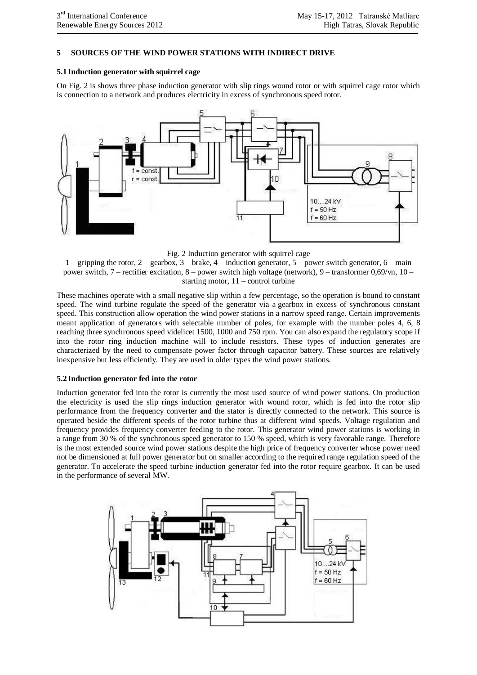### **5 SOURCES OF THE WIND POWER STATIONS WITH INDIRECT DRIVE**

### **5.1 Induction generator with squirrel cage**

On Fig. 2 is shows three phase induction generator with slip rings wound rotor or with squirrel cage rotor which is connection to a network and produces electricity in excess of synchronous speed rotor.



Fig. 2 Induction generator with squirrel cage

 $1$  – gripping the rotor,  $2$  – gearbox,  $3$  – brake,  $4$  – induction generator,  $5$  – power switch generator,  $6$  – main power switch, 7 – rectifier excitation, 8 – power switch high voltage (network), 9 – transformer 0,69/vn, 10 – starting motor,  $11$  – control turbine

These machines operate with a small negative slip within a few percentage, so the operation is bound to constant speed. The wind turbine regulate the speed of the generator via a gearbox in excess of synchronous constant speed. This construction allow operation the wind power stations in a narrow speed range. Certain improvements meant application of generators with selectable number of poles, for example with the number poles 4, 6, 8 reaching three synchronous speed videlicet 1500, 1000 and 750 rpm. You can also expand the regulatory scope if into the rotor ring induction machine will to include resistors. These types of induction generates are characterized by the need to compensate power factor through capacitor battery. These sources are relatively inexpensive but less efficiently. They are used in older types the wind power stations.

### **5.2 Induction generator fed into the rotor**

Induction generator fed into the rotor is currently the most used source of wind power stations. On production the electricity is used the slip rings induction generator with wound rotor, which is fed into the rotor slip performance from the frequency converter and the stator is directly connected to the network. This source is operated beside the different speeds of the rotor turbine thus at different wind speeds. Voltage regulation and frequency provides frequency converter feeding to the rotor. This generator wind power stations is working in a range from 30 % of the synchronous speed generator to 150 % speed, which is very favorable range. Therefore is the most extended source wind power stations despite the high price of frequency converter whose power need not be dimensioned at full power generator but on smaller according to the required range regulation speed of the generator. To accelerate the speed turbine induction generator fed into the rotor require gearbox. It can be used in the performance of several MW.

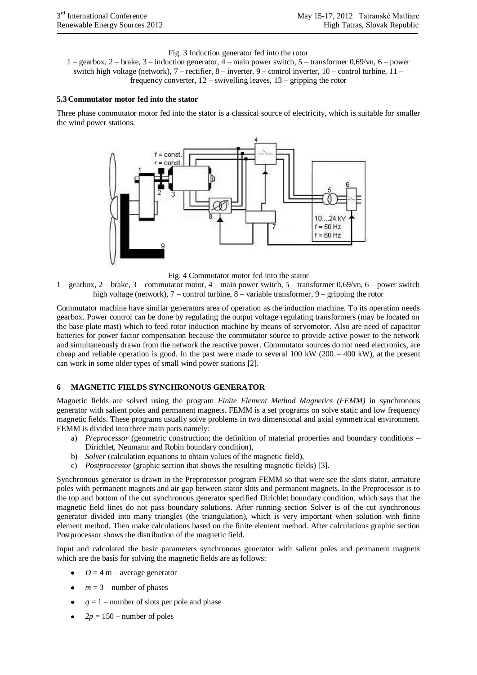Fig. 3 Induction generator fed into the rotor

1 – gearbox, 2 – brake, 3 – induction generator, 4 – main power switch, 5 – transformer 0,69/vn, 6 – power switch high voltage (network), 7 – rectifier, 8 – inverter, 9 – control inverter, 10 – control turbine, 11 – frequency converter, 12 – swivelling leaves, 13 – gripping the rotor

#### **5.3Commutator motor fed into the stator**

Three phase commutator motor fed into the stator is a classical source of electricity, which is suitable for smaller the wind power stations.





1 – gearbox, 2 – brake, 3 – commutator motor, 4 – main power switch, 5 – transformer 0,69/vn, 6 – power switch high voltage (network), 7 – control turbine, 8 – variable transformer, 9 – gripping the rotor

Commutator machine have similar generators area of operation as the induction machine. To its operation needs gearbox. Power control can be done by regulating the output voltage regulating transformers (may be located on the base plate mast) which to feed rotor induction machine by means of servomotor. Also are need of capacitor batteries for power factor compensation because the commutator source to provide active power to the network and simultaneously drawn from the network the reactive power. Commutator sources do not need electronics, are cheap and reliable operation is good. In the past were made to several 100 kW (200 – 400 kW), at the present can work in some older types of small wind power stations [2].

#### **6 MAGNETIC FIELDS SYNCHRONOUS GENERATOR**

Magnetic fields are solved using the program *Finite Element Method Magnetics (FEMM)* in synchronous generator with salient poles and permanent magnets. FEMM is a set programs on solve static and low frequency magnetic fields. These programs usually solve problems in two dimensional and axial symmetrical environment. FEMM is divided into three main parts namely:

- a) *Preprocessor* (geometric construction; the definition of material properties and boundary conditions Dirichlet, Neumann and Robin boundary condition),
- b) *Solver* (calculation equations to obtain values of the magnetic field),
- c) *Postprocessor* (graphic section that shows the resulting magnetic fields) [3].

Synchronous generator is drawn in the Preprocessor program FEMM so that were see the slots stator, armature poles with permanent magnets and air gap between stator slots and permanent magnets. In the Preprocessor is to the top and bottom of the cut synchronous generator specified Dirichlet boundary condition, which says that the magnetic field lines do not pass boundary solutions. After running section Solver is of the cut synchronous generator divided into many triangles (the triangulation), which is very important when solution with finite element method. Then make calculations based on the finite element method. After calculations graphic section Postprocessor shows the distribution of the magnetic field.

Input and calculated the basic parameters synchronous generator with salient poles and permanent magnets which are the basis for solving the magnetic fields are as follows:

- $D = 4$  m average generator
- $m = 3$  number of phases
- $q = 1$  number of slots per pole and phase
- $2p = 150$  number of poles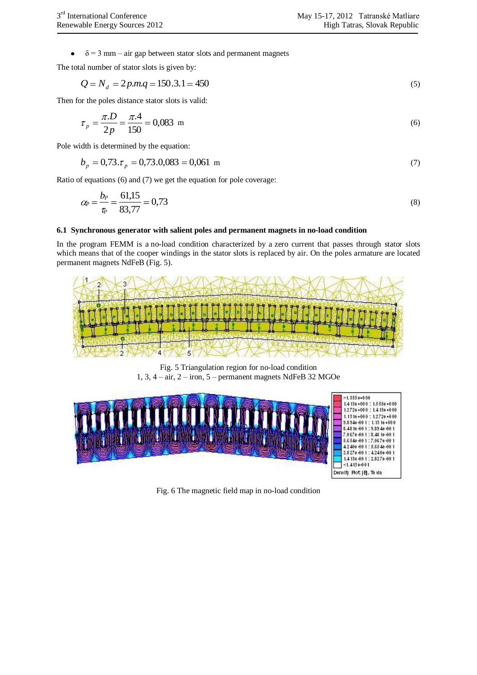$\delta$  = 3 mm – air gap between stator slots and permanent magnets  $\bullet$ 

The total number of stator slots is given by:

$$
Q = N_d = 2p.m.q = 150.3.1 = 450
$$
\n<sup>(5)</sup>

Then for the poles distance stator slots is valid:

$$
\tau_p = \frac{\pi.D}{2p} = \frac{\pi.4}{150} = 0,083 \text{ m} \tag{6}
$$

Pole width is determined by the equation:

$$
b_p = 0.73 \, \text{Jm} = 0.73 \, \text{Jm} = 0.061 \, \text{m} \tag{7}
$$

Ratio of equations (6) and (7) we get the equation for pole coverage:

$$
\alpha_p = \frac{b_p}{\tau_p} = \frac{61,15}{83,77} = 0,73\tag{8}
$$

#### **6.1 Synchronous generator with salient poles and permanent magnets in no-load condition**

In the program FEMM is a no-load condition characterized by a zero current that passes through stator slots which means that of the cooper windings in the stator slots is replaced by air. On the poles armature are located permanent magnets NdFeB (Fig. 5).



Fig. 5 Triangulation region for no-load condition 1, 3, 4 – air, 2 – iron, 5 – permanent magnets NdFeB 32 MGOe



Fig. 6 The magnetic field map in no-load condition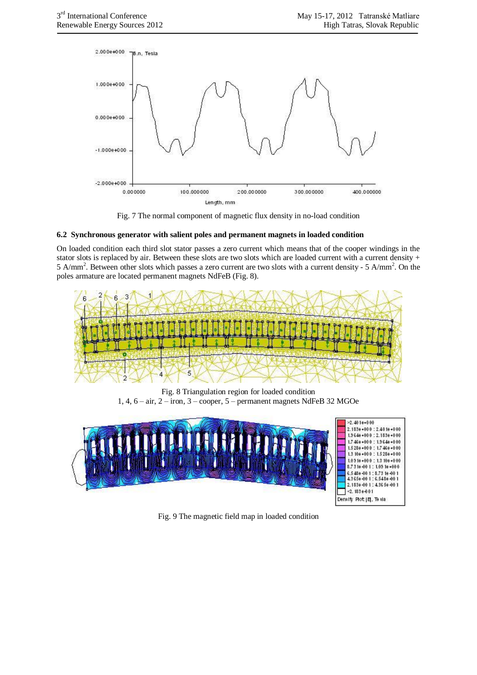

Fig. 7 The normal component of magnetic flux density in no-load condition

### **6.2 Synchronous generator with salient poles and permanent magnets in loaded condition**

On loaded condition each third slot stator passes a zero current which means that of the cooper windings in the stator slots is replaced by air. Between these slots are two slots which are loaded current with a current density + 5 A/mm<sup>2</sup>. Between other slots which passes a zero current are two slots with a current density - 5 A/mm<sup>2</sup>. On the poles armature are located permanent magnets NdFeB (Fig. 8).



Fig. 8 Triangulation region for loaded condition 1, 4, 6 – air, 2 – iron, 3 – cooper, 5 – permanent magnets NdFeB 32 MGOe



Fig. 9 The magnetic field map in loaded condition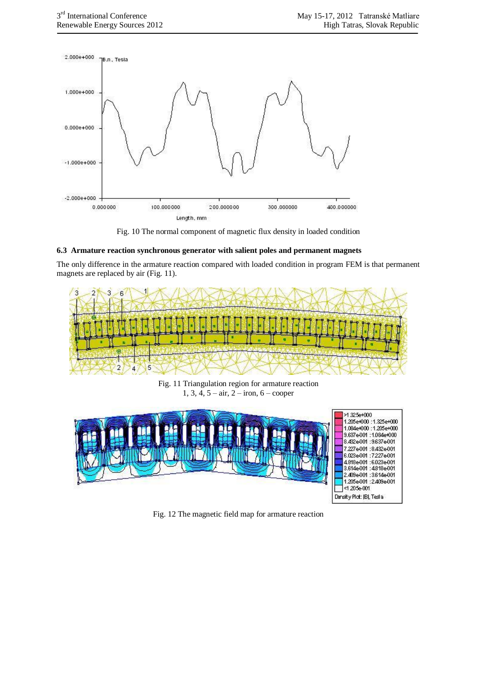

Fig. 10 The normal component of magnetic flux density in loaded condition

### **6.3 Armature reaction synchronous generator with salient poles and permanent magnets**

The only difference in the armature reaction compared with loaded condition in program FEM is that permanent magnets are replaced by air (Fig. 11).



Fig. 11 Triangulation region for armature reaction 1, 3, 4,  $5 - air$ ,  $2 - iron$ ,  $6 - cooper$ 



Fig. 12 The magnetic field map for armature reaction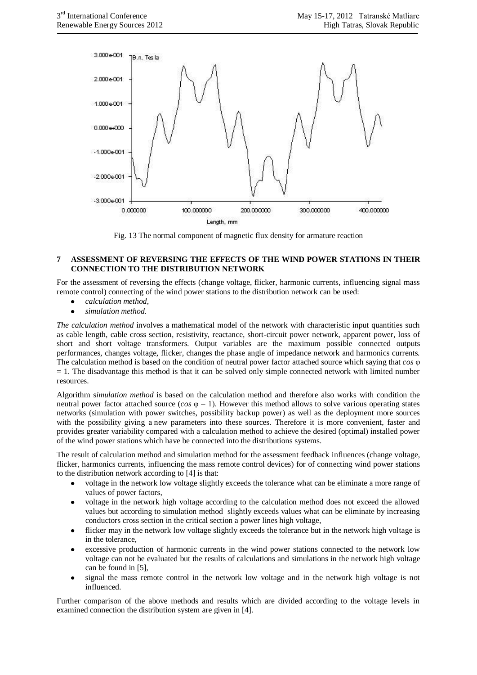

Fig. 13 The normal component of magnetic flux density for armature reaction

### **7 ASSESSMENT OF REVERSING THE EFFECTS OF THE WIND POWER STATIONS IN THEIR CONNECTION TO THE DISTRIBUTION NETWORK**

For the assessment of reversing the effects (change voltage, flicker, harmonic currents, influencing signal mass remote control) connecting of the wind power stations to the distribution network can be used:

- *calculation method*,
- *simulation method*.

*The calculation method* involves a mathematical model of the network with characteristic input quantities such as cable length, cable cross section, resistivity, reactance, short-circuit power network, apparent power, loss of short and short voltage transformers. Output variables are the maximum possible connected outputs performances, changes voltage, flicker, changes the phase angle of impedance network and harmonics currents. The calculation method is based on the condition of neutral power factor attached source which saying that *cos* φ  $= 1$ . The disadvantage this method is that it can be solved only simple connected network with limited number resources.

Algorithm s*imulation method* is based on the calculation method and therefore also works with condition the neutral power factor attached source ( $\cos \varphi = 1$ ). However this method allows to solve various operating states networks (simulation with power switches, possibility backup power) as well as the deployment more sources with the possibility giving a new parameters into these sources. Therefore it is more convenient, faster and provides greater variability compared with a calculation method to achieve the desired (optimal) installed power of the wind power stations which have be connected into the distributions systems.

The result of calculation method and simulation method for the assessment feedback influences (change voltage, flicker, harmonics currents, influencing the mass remote control devices) for of connecting wind power stations to the distribution network according to [4] is that:

- voltage in the network low voltage slightly exceeds the tolerance what can be eliminate a more range of values of power factors,
- voltage in the network high voltage according to the calculation method does not exceed the allowed values but according to simulation method slightly exceeds values what can be eliminate by increasing conductors cross section in the critical section a power lines high voltage,
- flicker may in the network low voltage slightly exceeds the tolerance but in the network high voltage is in the tolerance,
- excessive production of harmonic currents in the wind power stations connected to the network low voltage can not be evaluated but the results of calculations and simulations in the network high voltage can be found in [5],
- signal the mass remote control in the network low voltage and in the network high voltage is not  $\bullet$ influenced.

Further comparison of the above methods and results which are divided according to the voltage levels in examined connection the distribution system are given in [4].